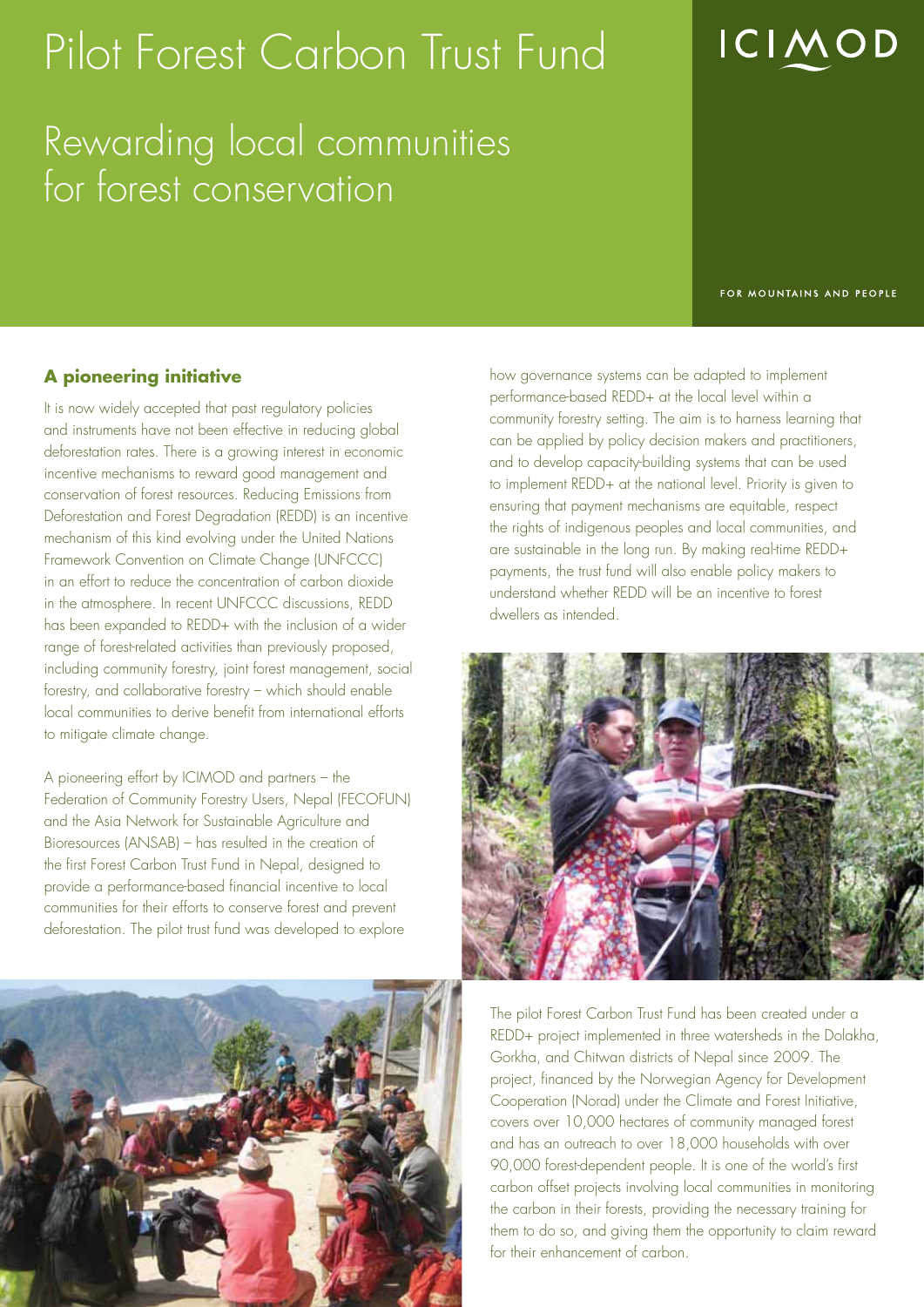# Pilot Forest Carbon Trust Fund

Rewarding local communities for forest conservation

FOR MOUNTAINS AND PEOPLE

**ICIMOD** 

### **A pioneering initiative**

It is now widely accepted that past regulatory policies and instruments have not been effective in reducing global deforestation rates. There is a growing interest in economic incentive mechanisms to reward good management and conservation of forest resources. Reducing Emissions from Deforestation and Forest Degradation (REDD) is an incentive mechanism of this kind evolving under the United Nations Framework Convention on Climate Change (UNFCCC) in an effort to reduce the concentration of carbon dioxide in the atmosphere. In recent UNFCCC discussions, REDD has been expanded to REDD+ with the inclusion of a wider range of forest-related activities than previously proposed, including community forestry, joint forest management, social forestry, and collaborative forestry – which should enable local communities to derive benefit from international efforts to mitigate climate change.

A pioneering effort by ICIMOD and partners – the Federation of Community Forestry Users, Nepal (FECOFUN) and the Asia Network for Sustainable Agriculture and Bioresources (ANSAB) – has resulted in the creation of the first Forest Carbon Trust Fund in Nepal, designed to provide a performance-based financial incentive to local communities for their efforts to conserve forest and prevent deforestation. The pilot trust fund was developed to explore



how governance systems can be adapted to implement performance-based REDD+ at the local level within a community forestry setting. The aim is to harness learning that can be applied by policy decision makers and practitioners, and to develop capacity-building systems that can be used to implement REDD+ at the national level. Priority is given to ensuring that payment mechanisms are equitable, respect the rights of indigenous peoples and local communities, and are sustainable in the long run. By making real-time REDD+ payments, the trust fund will also enable policy makers to understand whether REDD will be an incentive to forest dwellers as intended.



The pilot Forest Carbon Trust Fund has been created under a REDD+ project implemented in three watersheds in the Dolakha, Gorkha, and Chitwan districts of Nepal since 2009. The project, financed by the Norwegian Agency for Development Cooperation (Norad) under the Climate and Forest Initiative, covers over 10,000 hectares of community managed forest and has an outreach to over 18,000 households with over 90,000 forest-dependent people. It is one of the world's first carbon offset projects involving local communities in monitoring the carbon in their forests, providing the necessary training for them to do so, and giving them the opportunity to claim reward for their enhancement of carbon.